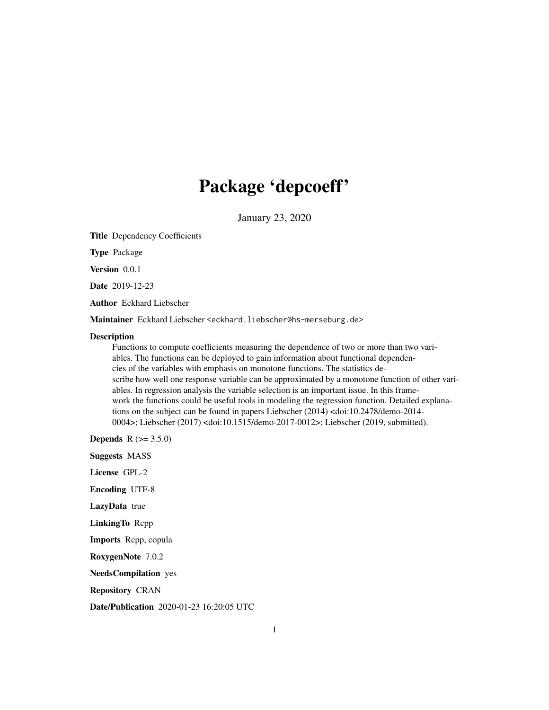## Package 'depcoeff'

January 23, 2020

Title Dependency Coefficients

Type Package

Version 0.0.1

Date 2019-12-23

Author Eckhard Liebscher

Maintainer Eckhard Liebscher <eckhard.liebscher@hs-merseburg.de>

#### **Description**

Functions to compute coefficients measuring the dependence of two or more than two variables. The functions can be deployed to gain information about functional dependencies of the variables with emphasis on monotone functions. The statistics describe how well one response variable can be approximated by a monotone function of other variables. In regression analysis the variable selection is an important issue. In this framework the functions could be useful tools in modeling the regression function. Detailed explanations on the subject can be found in papers Liebscher (2014) <doi:10.2478/demo-2014- 0004>; Liebscher (2017) <doi:10.1515/demo-2017-0012>; Liebscher (2019, submitted).

**Depends** R  $(>= 3.5.0)$ 

Suggests MASS

License GPL-2

Encoding UTF-8

LazyData true

LinkingTo Rcpp

Imports Rcpp, copula

RoxygenNote 7.0.2

NeedsCompilation yes

Repository CRAN

Date/Publication 2020-01-23 16:20:05 UTC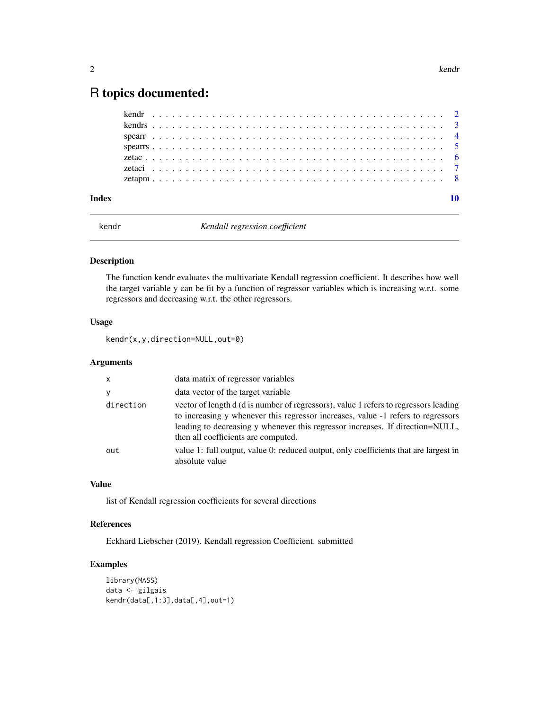### <span id="page-1-0"></span>R topics documented:

| Index |  |  |  |  |  |  |  |  |  |  |  |  |  |  |  |  |  |  |  |  |  |  |  |
|-------|--|--|--|--|--|--|--|--|--|--|--|--|--|--|--|--|--|--|--|--|--|--|--|

kendr *Kendall regression coefficient*

#### Description

The function kendr evaluates the multivariate Kendall regression coefficient. It describes how well the target variable y can be fit by a function of regressor variables which is increasing w.r.t. some regressors and decreasing w.r.t. the other regressors.

#### Usage

kendr(x,y,direction=NULL,out=0)

#### Arguments

| $\mathsf{x}$ | data matrix of regressor variables                                                                                                                                                                                                                                                               |
|--------------|--------------------------------------------------------------------------------------------------------------------------------------------------------------------------------------------------------------------------------------------------------------------------------------------------|
|              | data vector of the target variable                                                                                                                                                                                                                                                               |
| direction    | vector of length d (d is number of regressors), value 1 refers to regressors leading<br>to increasing y whenever this regressor increases, value -1 refers to regressors<br>leading to decreasing y whenever this regressor increases. If direction=NULL,<br>then all coefficients are computed. |
| out          | value 1: full output, value 0: reduced output, only coefficients that are largest in<br>absolute value                                                                                                                                                                                           |

#### Value

list of Kendall regression coefficients for several directions

#### References

Eckhard Liebscher (2019). Kendall regression Coefficient. submitted

```
library(MASS)
data <- gilgais
kendr(data[,1:3],data[,4],out=1)
```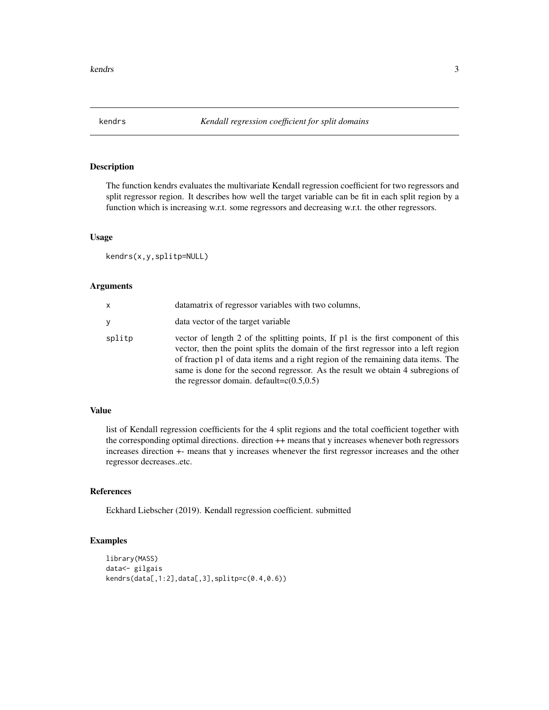<span id="page-2-0"></span>

The function kendrs evaluates the multivariate Kendall regression coefficient for two regressors and split regressor region. It describes how well the target variable can be fit in each split region by a function which is increasing w.r.t. some regressors and decreasing w.r.t. the other regressors.

#### Usage

kendrs(x,y,splitp=NULL)

#### Arguments

| x      | datamatrix of regressor variables with two columns,                                                                                                                                                                                                                                                                                                                                          |
|--------|----------------------------------------------------------------------------------------------------------------------------------------------------------------------------------------------------------------------------------------------------------------------------------------------------------------------------------------------------------------------------------------------|
| v      | data vector of the target variable                                                                                                                                                                                                                                                                                                                                                           |
| splitp | vector of length 2 of the splitting points, If p1 is the first component of this<br>vector, then the point splits the domain of the first regressor into a left region<br>of fraction p1 of data items and a right region of the remaining data items. The<br>same is done for the second regressor. As the result we obtain 4 subregions of<br>the regressor domain. default= $c(0.5, 0.5)$ |

#### Value

list of Kendall regression coefficients for the 4 split regions and the total coefficient together with the corresponding optimal directions. direction ++ means that y increases whenever both regressors increases direction +- means that y increases whenever the first regressor increases and the other regressor decreases..etc.

#### References

Eckhard Liebscher (2019). Kendall regression coefficient. submitted

```
library(MASS)
data<- gilgais
kendrs(data[,1:2],data[,3],splitp=c(0.4,0.6))
```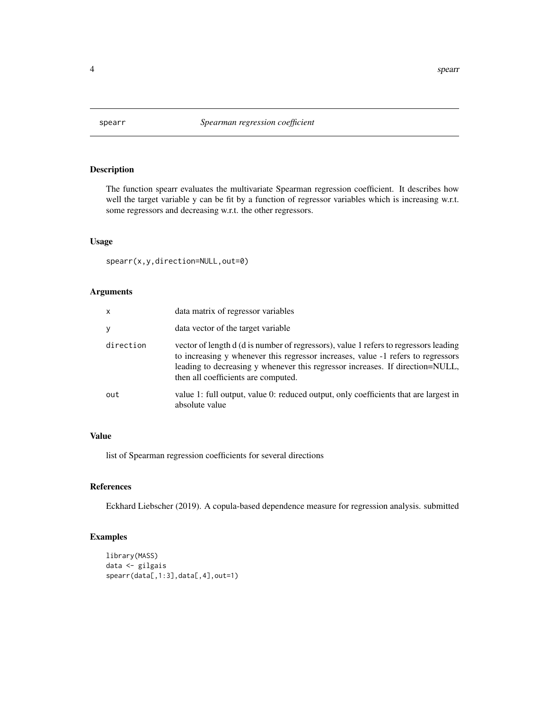<span id="page-3-0"></span>

The function spearr evaluates the multivariate Spearman regression coefficient. It describes how well the target variable y can be fit by a function of regressor variables which is increasing w.r.t. some regressors and decreasing w.r.t. the other regressors.

#### Usage

```
spearr(x,y,direction=NULL,out=0)
```
#### Arguments

| $\mathsf{x}$ | data matrix of regressor variables                                                                                                                                                                                                                                                               |
|--------------|--------------------------------------------------------------------------------------------------------------------------------------------------------------------------------------------------------------------------------------------------------------------------------------------------|
| y            | data vector of the target variable                                                                                                                                                                                                                                                               |
| direction    | vector of length d (d is number of regressors), value 1 refers to regressors leading<br>to increasing y whenever this regressor increases, value -1 refers to regressors<br>leading to decreasing y whenever this regressor increases. If direction=NULL,<br>then all coefficients are computed. |
| out          | value 1: full output, value 0: reduced output, only coefficients that are largest in<br>absolute value                                                                                                                                                                                           |

#### Value

list of Spearman regression coefficients for several directions

#### References

Eckhard Liebscher (2019). A copula-based dependence measure for regression analysis. submitted

```
library(MASS)
data <- gilgais
spearr(data[,1:3],data[,4],out=1)
```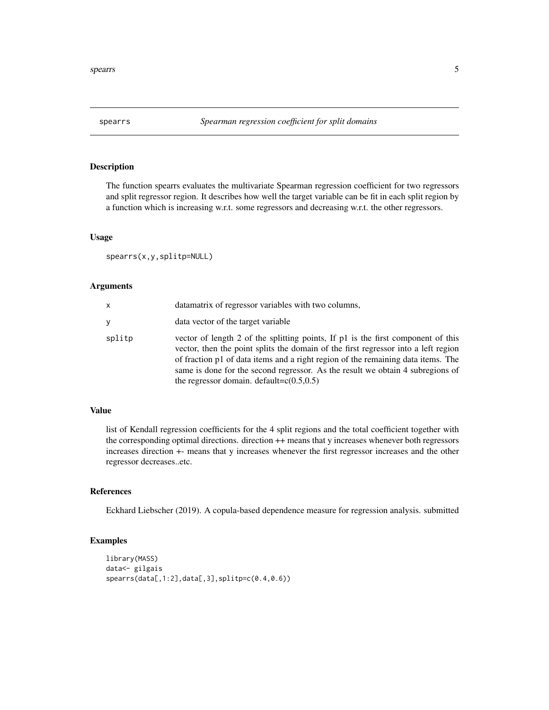<span id="page-4-0"></span>

The function spearrs evaluates the multivariate Spearman regression coefficient for two regressors and split regressor region. It describes how well the target variable can be fit in each split region by a function which is increasing w.r.t. some regressors and decreasing w.r.t. the other regressors.

#### Usage

spearrs(x,y,splitp=NULL)

#### Arguments

| x      | datamatrix of regressor variables with two columns,                                                                                                                                                                                                                                                                                                                                          |
|--------|----------------------------------------------------------------------------------------------------------------------------------------------------------------------------------------------------------------------------------------------------------------------------------------------------------------------------------------------------------------------------------------------|
| v      | data vector of the target variable                                                                                                                                                                                                                                                                                                                                                           |
| splitp | vector of length 2 of the splitting points, If p1 is the first component of this<br>vector, then the point splits the domain of the first regressor into a left region<br>of fraction p1 of data items and a right region of the remaining data items. The<br>same is done for the second regressor. As the result we obtain 4 subregions of<br>the regressor domain. default= $c(0.5, 0.5)$ |

#### Value

list of Kendall regression coefficients for the 4 split regions and the total coefficient together with the corresponding optimal directions. direction ++ means that y increases whenever both regressors increases direction +- means that y increases whenever the first regressor increases and the other regressor decreases..etc.

#### References

Eckhard Liebscher (2019). A copula-based dependence measure for regression analysis. submitted

```
library(MASS)
data<- gilgais
spearrs(data[,1:2],data[,3],splitp=c(0.4,0.6))
```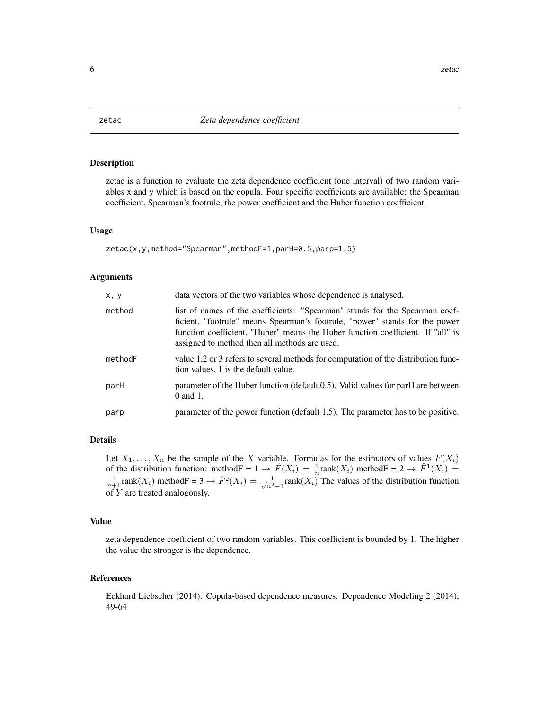<span id="page-5-0"></span>

zetac is a function to evaluate the zeta dependence coefficient (one interval) of two random variables x and y which is based on the copula. Four specific coefficients are available: the Spearman coefficient, Spearman's footrule, the power coefficient and the Huber function coefficient.

#### Usage

```
zetac(x,y,method="Spearman",methodF=1,parH=0.5,parp=1.5)
```
#### Arguments

| x, y    | data vectors of the two variables whose dependence is analysed.                                                                                                                                                                                                                                |
|---------|------------------------------------------------------------------------------------------------------------------------------------------------------------------------------------------------------------------------------------------------------------------------------------------------|
| method  | list of names of the coefficients: "Spearman" stands for the Spearman coef-<br>ficient, "footrule" means Spearman's footrule, "power" stands for the power<br>function coefficient, "Huber" means the Huber function coefficient. If "all" is<br>assigned to method then all methods are used. |
| methodF | value 1,2 or 3 refers to several methods for computation of the distribution func-<br>tion values, 1 is the default value.                                                                                                                                                                     |
| parH    | parameter of the Huber function (default 0.5). Valid values for parH are between<br>$0$ and $1$ .                                                                                                                                                                                              |
| parp    | parameter of the power function (default 1.5). The parameter has to be positive.                                                                                                                                                                                                               |

#### Details

Let  $X_1, \ldots, X_n$  be the sample of the X variable. Formulas for the estimators of values  $F(X_i)$ of the distribution function: method  $F = 1 \rightarrow \hat{F}(X_i) = \frac{1}{n} \text{rank}(X_i)$  method  $F = 2 \rightarrow \hat{F}^1(X_i) =$  $\frac{1}{n+1}$ rank $(X_i)$  method $F = 3 \rightarrow \hat{F}^2(X_i) = \frac{1}{\sqrt{n^2}}$  $\frac{1}{n^2-1}$ rank $(X_i)$  The values of the distribution function of Y are treated analogously.

#### Value

zeta dependence coefficient of two random variables. This coefficient is bounded by 1. The higher the value the stronger is the dependence.

#### References

Eckhard Liebscher (2014). Copula-based dependence measures. Dependence Modeling 2 (2014), 49-64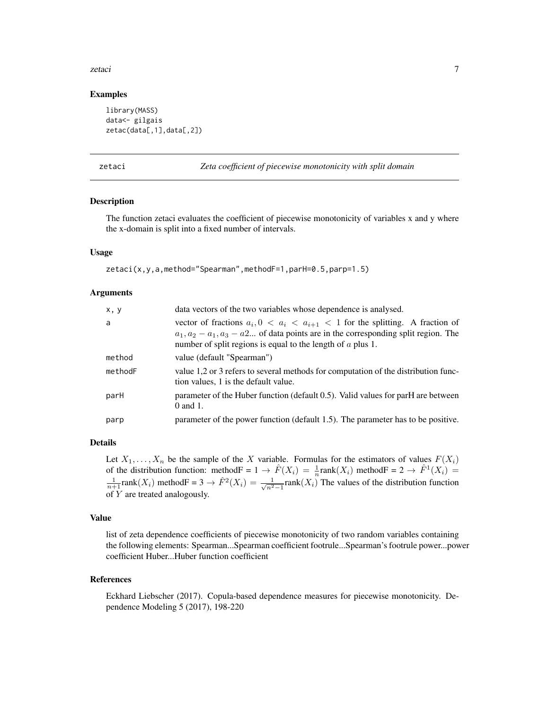#### <span id="page-6-0"></span>zetaci 7

#### Examples

```
library(MASS)
data<- gilgais
zetac(data[,1],data[,2])
```
zetaci *Zeta coefficient of piecewise monotonicity with split domain*

#### Description

The function zetaci evaluates the coefficient of piecewise monotonicity of variables x and y where the x-domain is split into a fixed number of intervals.

#### Usage

zetaci(x,y,a,method="Spearman",methodF=1,parH=0.5,parp=1.5)

#### **Arguments**

| x, y    | data vectors of the two variables whose dependence is analysed.                                                                                                                                                                                  |
|---------|--------------------------------------------------------------------------------------------------------------------------------------------------------------------------------------------------------------------------------------------------|
| a       | vector of fractions $a_i, 0 < a_i < a_{i+1} < 1$ for the splitting. A fraction of<br>$a_1, a_2 - a_1, a_3 - a_2$ of data points are in the corresponding split region. The<br>number of split regions is equal to the length of $\alpha$ plus 1. |
| method  | value (default "Spearman")                                                                                                                                                                                                                       |
| methodF | value 1,2 or 3 refers to several methods for computation of the distribution func-<br>tion values, 1 is the default value.                                                                                                                       |
| parH    | parameter of the Huber function (default 0.5). Valid values for parH are between<br>0 and 1.                                                                                                                                                     |
| parp    | parameter of the power function (default 1.5). The parameter has to be positive.                                                                                                                                                                 |

#### Details

Let  $X_1, \ldots, X_n$  be the sample of the X variable. Formulas for the estimators of values  $F(X_i)$ of the distribution function: method  $F = 1 \rightarrow \hat{F}(X_i) = \frac{1}{n} \text{rank}(X_i)$  method  $F = 2 \rightarrow \hat{F}^1(X_i) =$  $\frac{1}{n+1}$ rank $(X_i)$  method $F = 3 \rightarrow \hat{F}^2(X_i) = \frac{1}{\sqrt{n^2}}$  $\frac{1}{n^2-1}$ rank $(X_i)$  The values of the distribution function of Y are treated analogously.

#### Value

list of zeta dependence coefficients of piecewise monotonicity of two random variables containing the following elements: Spearman...Spearman coefficient footrule...Spearman's footrule power...power coefficient Huber...Huber function coefficient

#### References

Eckhard Liebscher (2017). Copula-based dependence measures for piecewise monotonicity. Dependence Modeling 5 (2017), 198-220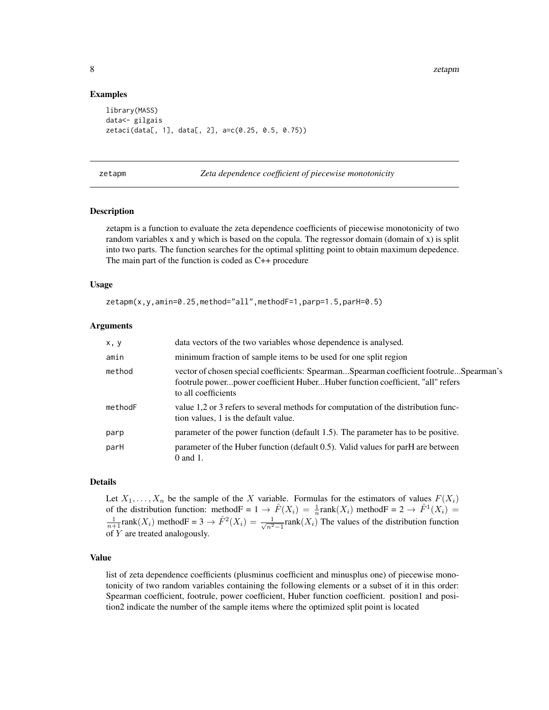#### Examples

```
library(MASS)
data<- gilgais
zetaci(data[, 1], data[, 2], a=c(0.25, 0.5, 0.75))
```
zetapm *Zeta dependence coefficient of piecewise monotonicity*

#### Description

zetapm is a function to evaluate the zeta dependence coefficients of piecewise monotonicity of two random variables x and y which is based on the copula. The regressor domain (domain of x) is split into two parts. The function searches for the optimal splitting point to obtain maximum depedence. The main part of the function is coded as C++ procedure

#### Usage

```
zetapm(x,y,amin=0.25,method="all",methodF=1,parp=1.5,parH=0.5)
```
#### Arguments

| x, y    | data vectors of the two variables whose dependence is analysed.                                                                                                                                |
|---------|------------------------------------------------------------------------------------------------------------------------------------------------------------------------------------------------|
| amin    | minimum fraction of sample items to be used for one split region                                                                                                                               |
| method  | vector of chosen special coefficients: SpearmanSpearman coefficient footruleSpearman's<br>footrule powerpower coefficient HuberHuber function coefficient, "all" refers<br>to all coefficients |
| methodF | value 1,2 or 3 refers to several methods for computation of the distribution func-<br>tion values, 1 is the default value.                                                                     |
| parp    | parameter of the power function (default 1.5). The parameter has to be positive.                                                                                                               |
| parH    | parameter of the Huber function (default 0.5). Valid values for parH are between<br>0 and 1.                                                                                                   |

#### Details

Let  $X_1, \ldots, X_n$  be the sample of the X variable. Formulas for the estimators of values  $F(X_i)$ of the distribution function: method  $F = 1 \rightarrow \hat{F}(X_i) = \frac{1}{n} \text{rank}(X_i)$  method  $F = 2 \rightarrow \hat{F}^1(X_i) =$  $\frac{1}{n+1}$ rank $(X_i)$  method $F = 3 \rightarrow \hat{F}^2(X_i) = \frac{1}{\sqrt{n^2}}$  $\frac{1}{n^2-1}$ rank $(X_i)$  The values of the distribution function of Y are treated analogously.

#### Value

list of zeta dependence coefficients (plusminus coefficient and minusplus one) of piecewise monotonicity of two random variables containing the following elements or a subset of it in this order: Spearman coefficient, footrule, power coefficient, Huber function coefficient. position1 and position2 indicate the number of the sample items where the optimized split point is located

<span id="page-7-0"></span>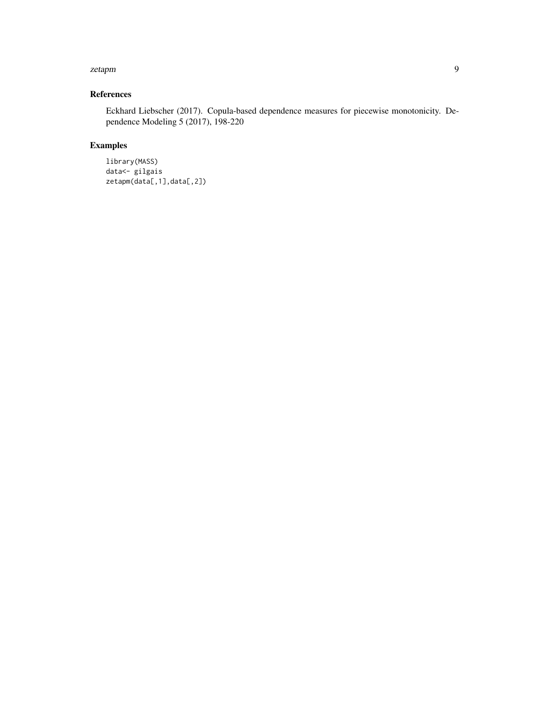#### zetapm 9

#### References

Eckhard Liebscher (2017). Copula-based dependence measures for piecewise monotonicity. Dependence Modeling 5 (2017), 198-220

#### Examples

library(MASS) data<- gilgais zetapm(data[,1],data[,2])